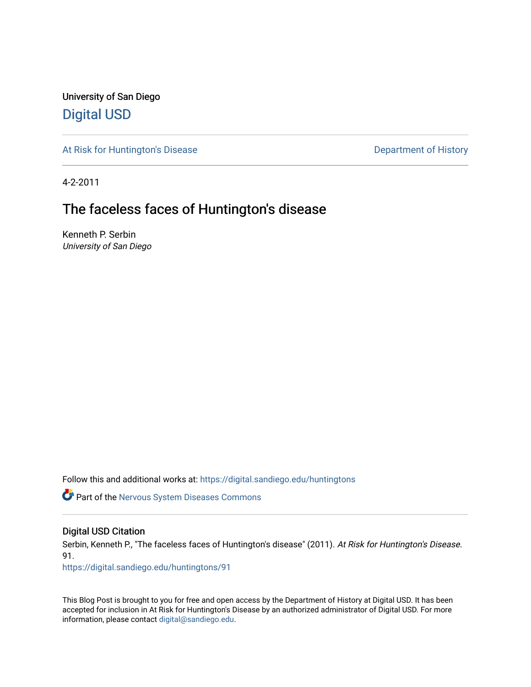University of San Diego [Digital USD](https://digital.sandiego.edu/)

[At Risk for Huntington's Disease](https://digital.sandiego.edu/huntingtons) **Department of History** Department of History

4-2-2011

# The faceless faces of Huntington's disease

Kenneth P. Serbin University of San Diego

Follow this and additional works at: [https://digital.sandiego.edu/huntingtons](https://digital.sandiego.edu/huntingtons?utm_source=digital.sandiego.edu%2Fhuntingtons%2F91&utm_medium=PDF&utm_campaign=PDFCoverPages)

**C** Part of the [Nervous System Diseases Commons](http://network.bepress.com/hgg/discipline/928?utm_source=digital.sandiego.edu%2Fhuntingtons%2F91&utm_medium=PDF&utm_campaign=PDFCoverPages)

### Digital USD Citation

Serbin, Kenneth P., "The faceless faces of Huntington's disease" (2011). At Risk for Huntington's Disease. 91.

[https://digital.sandiego.edu/huntingtons/91](https://digital.sandiego.edu/huntingtons/91?utm_source=digital.sandiego.edu%2Fhuntingtons%2F91&utm_medium=PDF&utm_campaign=PDFCoverPages)

This Blog Post is brought to you for free and open access by the Department of History at Digital USD. It has been accepted for inclusion in At Risk for Huntington's Disease by an authorized administrator of Digital USD. For more information, please contact [digital@sandiego.edu.](mailto:digital@sandiego.edu)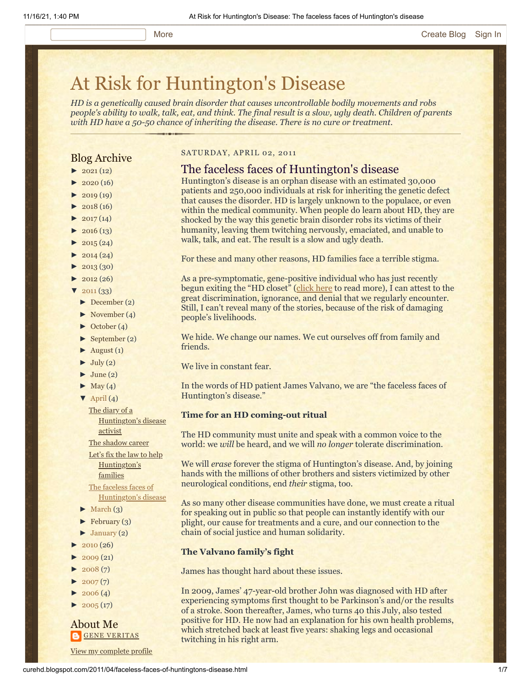# [At Risk for Huntington's Disease](http://curehd.blogspot.com/)

*HD is a genetically caused brain disorder that causes uncontrollable bodily movements and robs people's ability to walk, talk, eat, and think. The final result is a slow, ugly death. Children of parents with HD have a 50-50 chance of inheriting the disease. There is no cure or treatment.*

### Blog Archive

- $\blacktriangleright$  [2021](http://curehd.blogspot.com/2021/) (12)
- $2020(16)$  $2020(16)$
- $-2019(19)$  $-2019(19)$  $-2019(19)$
- $\blacktriangleright$  [2018](http://curehd.blogspot.com/2018/) (16)
- $2017(14)$  $2017(14)$
- $2016(13)$  $2016(13)$
- $\blacktriangleright$  [2015](http://curehd.blogspot.com/2015/) (24)
- $\blacktriangleright$  [2014](http://curehd.blogspot.com/2014/) (24)
- $\blacktriangleright$  [2013](http://curehd.blogspot.com/2013/) (30)
- $\blacktriangleright$  [2012](http://curehd.blogspot.com/2012/) (26)
- $2011(33)$  $2011(33)$
- [►](javascript:void(0)) [December](http://curehd.blogspot.com/2011/12/) (2)
- [►](javascript:void(0)) [November](http://curehd.blogspot.com/2011/11/) (4)
- [►](javascript:void(0)) [October](http://curehd.blogspot.com/2011/10/) (4)
- $\blacktriangleright$  [September](http://curehd.blogspot.com/2011/09/) (2)
- $\blacktriangleright$  [August](http://curehd.blogspot.com/2011/08/) (1)
- $\blacktriangleright$  [July](http://curehd.blogspot.com/2011/07/) (2)
- $\blacktriangleright$  [June](http://curehd.blogspot.com/2011/06/) (2)
- $\blacktriangleright$  [May](http://curehd.blogspot.com/2011/05/) (4)
- $\nabla$  [April](http://curehd.blogspot.com/2011/04/) (4) The diary of a

[Huntington's](http://curehd.blogspot.com/2011/04/diary-of-huntingtons-disease-activist.html) disease activist

The [shadow](http://curehd.blogspot.com/2011/04/shadow-career.html) career

Let's fix the law to help [Huntington's](http://curehd.blogspot.com/2011/04/lets-fix-law-to-help-huntingtons.html) families The faceless faces of

[Huntington's](http://curehd.blogspot.com/2011/04/faceless-faces-of-huntingtons-disease.html) disease

- $\blacktriangleright$  [March](http://curehd.blogspot.com/2011/03/)  $(3)$
- $\blacktriangleright$  [February](http://curehd.blogspot.com/2011/02/) (3)
- $\blacktriangleright$  [January](http://curehd.blogspot.com/2011/01/) (2)
- $2010(26)$  $2010(26)$
- $2009(21)$  $2009(21)$
- $2008(7)$  $2008(7)$
- $\blacktriangleright$  [2007](http://curehd.blogspot.com/2007/) $(7)$
- $\blacktriangleright$  [2006](http://curehd.blogspot.com/2006/) (4)
- $2005(17)$  $2005(17)$

About Me **GENE [VERITAS](https://www.blogger.com/profile/10911736205741688185)** 

View my [complete](https://www.blogger.com/profile/10911736205741688185) profile

#### SATURDAY, APRIL 02, 2011

#### The faceless faces of Huntington's disease

Huntington's disease is an orphan disease with an estimated 30,000 patients and 250,000 individuals at risk for inheriting the genetic defect that causes the disorder. HD is largely unknown to the populace, or even within the medical community. When people do learn about HD, they are shocked by the way this genetic brain disorder robs its victims of their humanity, leaving them twitching nervously, emaciated, and unable to walk, talk, and eat. The result is a slow and ugly death.

For these and many other reasons, HD families face a terrible stigma.

As a pre-symptomatic, gene-positive individual who has just recently begun exiting the "HD closet" [\(click here](http://curehd.blogspot.com/2011/02/unmasking-gene-veritas-huntingtons.html) to read more), I can attest to the great discrimination, ignorance, and denial that we regularly encounter. Still, I can't reveal many of the stories, because of the risk of damaging people's livelihoods.

We hide. We change our names. We cut ourselves off from family and friends.

We live in constant fear.

In the words of HD patient James Valvano, we are "the faceless faces of Huntington's disease."

#### **Time for an HD coming-out ritual**

The HD community must unite and speak with a common voice to the world: we *will* be heard, and we will *no longer* tolerate discrimination.

We will *erase* forever the stigma of Huntington's disease. And, by joining hands with the millions of other brothers and sisters victimized by other neurological conditions, end *their* stigma, too.

As so many other disease communities have done, we must create a ritual for speaking out in public so that people can instantly identify with our plight, our cause for treatments and a cure, and our connection to the chain of social justice and human solidarity.

#### **The Valvano family's fight**

James has thought hard about these issues.

In 2009, James' 47-year-old brother John was diagnosed with HD after experiencing symptoms first thought to be Parkinson's and/or the results of a stroke. Soon thereafter, James, who turns 40 this July, also tested positive for HD. He now had an explanation for his own health problems, which stretched back at least five years: shaking legs and occasional twitching in his right arm.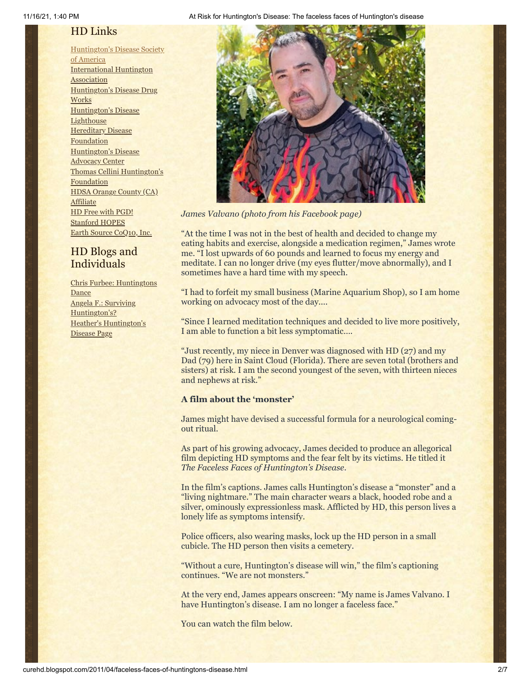# HD Links

[Huntington's](http://www.hdsa.org/) Disease Society of America [International](http://www.huntington-assoc.com/) Huntington **Association** [Huntington's](http://hddrugworks.org/) Disease Drug **Works** [Huntington's](http://www.hdlighthouse.org/) Disease **Lighthouse Hereditary Disease [Foundation](http://www.hdfoundation.org/)** [Huntington's](http://www.hdac.org/) Disease Advocacy Center Thomas [Cellini Huntington's](http://www.ourtchfoundation.org/) **Foundation** HDSA Orange County (CA) **[Affiliate](http://www.hdsaoc.org/)** HD Free with [PGD!](http://www.hdfreewithpgd.com/) [Stanford](http://www.stanford.edu/group/hopes/) HOPES Earth Source [CoQ10,](http://www.escoq10.com/) Inc.

# HD Blogs and Individuals

Chris Furbee: [Huntingtons](http://www.huntingtonsdance.org/) **Dance** Angela F.: Surviving [Huntington's?](http://survivinghuntingtons.blogspot.com/) Heather's [Huntington's](http://heatherdugdale.angelfire.com/) Disease Page

#### 11/16/21, 1:40 PM At Risk for Huntington's Disease: The faceless faces of Huntington's disease



*James Valvano (photo from his Facebook page)*

"At the time I was not in the best of health and decided to change my eating habits and exercise, alongside a medication regimen," James wrote me. "I lost upwards of 60 pounds and learned to focus my energy and meditate. I can no longer drive (my eyes flutter/move abnormally), and I sometimes have a hard time with my speech.

"I had to forfeit my small business (Marine Aquarium Shop), so I am home working on advocacy most of the day....

"Since I learned meditation techniques and decided to live more positively, I am able to function a bit less symptomatic….

"Just recently, my niece in Denver was diagnosed with HD (27) and my Dad (79) here in Saint Cloud (Florida). There are seven total (brothers and sisters) at risk. I am the second youngest of the seven, with thirteen nieces and nephews at risk."

#### **A film about the 'monster'**

James might have devised a successful formula for a neurological comingout ritual.

As part of his growing advocacy, James decided to produce an allegorical film depicting HD symptoms and the fear felt by its victims. He titled it *The Faceless Faces of Huntington's Disease*.

In the film's captions. James calls Huntington's disease a "monster" and a "living nightmare." The main character wears a black, hooded robe and a silver, ominously expressionless mask. Afflicted by HD, this person lives a lonely life as symptoms intensify.

Police officers, also wearing masks, lock up the HD person in a small cubicle. The HD person then visits a cemetery.

"Without a cure, Huntington's disease will win," the film's captioning continues. "We are not monsters."

At the very end, James appears onscreen: "My name is James Valvano. I have Huntington's disease. I am no longer a faceless face."

You can watch the film below.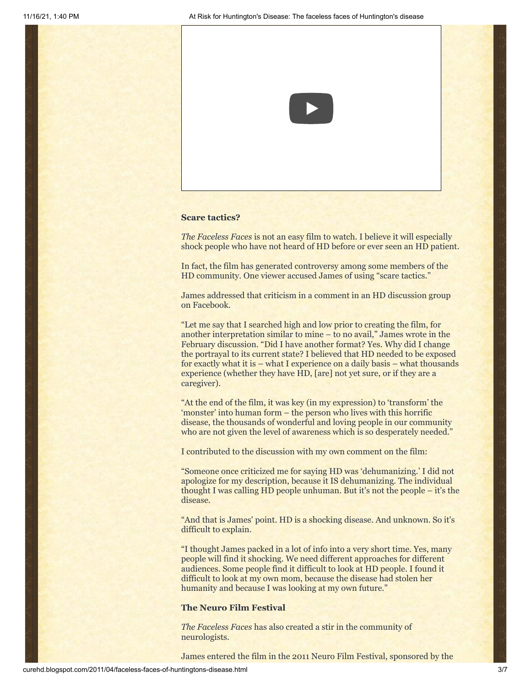

#### **Scare tactics?**

*The Faceless Faces* is not an easy film to watch. I believe it will especially shock people who have not heard of HD before or ever seen an HD patient.

In fact, the film has generated controversy among some members of the HD community. One viewer accused James of using "scare tactics."

James addressed that criticism in a comment in an HD discussion group on Facebook.

"Let me say that I searched high and low prior to creating the film, for another interpretation similar to mine – to no avail," James wrote in the February discussion. "Did I have another format? Yes. Why did I change the portrayal to its current state? I believed that HD needed to be exposed for exactly what it is – what I experience on a daily basis – what thousands experience (whether they have HD, [are] not yet sure, or if they are a caregiver).

"At the end of the film, it was key (in my expression) to 'transform' the 'monster' into human form – the person who lives with this horrific disease, the thousands of wonderful and loving people in our community who are not given the level of awareness which is so desperately needed."

I contributed to the discussion with my own comment on the film:

"Someone once criticized me for saying HD was 'dehumanizing.' I did not apologize for my description, because it IS dehumanizing. The individual thought I was calling HD people unhuman. But it's not the people – it's the disease.

"And that is James' point. HD is a shocking disease. And unknown. So it's difficult to explain.

"I thought James packed in a lot of info into a very short time. Yes, many people will find it shocking. We need different approaches for different audiences. Some people find it difficult to look at HD people. I found it difficult to look at my own mom, because the disease had stolen her humanity and because I was looking at my own future."

#### **The Neuro Film Festival**

*The Faceless Faces* has also created a stir in the community of neurologists.

James entered the film in the 2011 Neuro Film Festival, sponsored by the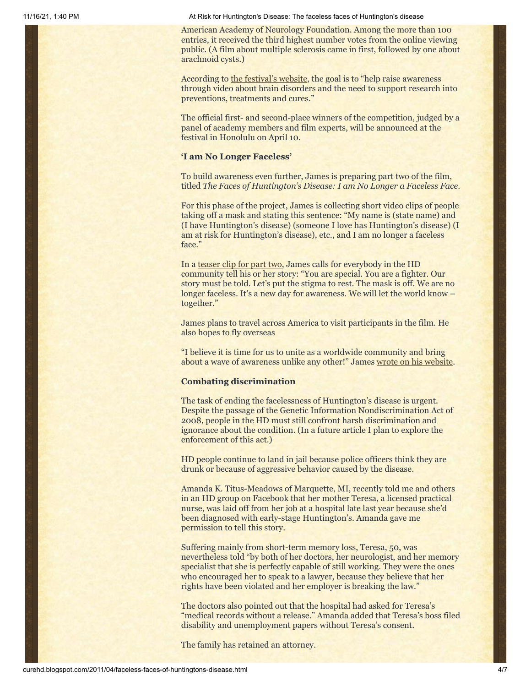11/16/21, 1:40 PM At Risk for Huntington's Disease: The faceless faces of Huntington's disease

American Academy of Neurology Foundation. Among the more than 100 entries, it received the third highest number votes from the online viewing public. (A film about multiple sclerosis came in first, followed by one about arachnoid cysts.)

According to [the festival's website](http://patients.aan.com/go/about/neurofilmfestival), the goal is to "help raise awareness" through video about brain disorders and the need to support research into preventions, treatments and cures."

The official first- and second-place winners of the competition, judged by a panel of academy members and film experts, will be announced at the festival in Honolulu on April 10.

#### **'I am No Longer Faceless'**

To build awareness even further, James is preparing part two of the film, titled *The Faces of Huntington's Disease: I am No Longer a Faceless Face*.

For this phase of the project, James is collecting short video clips of people taking off a mask and stating this sentence: "My name is (state name) and (I have Huntington's disease) (someone I love has Huntington's disease) (I am at risk for Huntington's disease), etc., and I am no longer a faceless face."

In a [teaser clip for part two](http://www.youtube.com/watch?v=4hRYtTHMfrI), James calls for everybody in the HD community tell his or her story: "You are special. You are a fighter. Our story must be told. Let's put the stigma to rest. The mask is off. We are no longer faceless. It's a new day for awareness. We will let the world know – together."

James plans to travel across America to visit participants in the film. He also hopes to fly overseas

"I believe it is time for us to unite as a worldwide community and bring about a wave of awareness unlike any other!" James [wrote on his website](http://www.wehaveaface.org/Home.html).

#### **Combating discrimination**

The task of ending the facelessness of Huntington's disease is urgent. Despite the passage of the Genetic Information Nondiscrimination Act of 2008, people in the HD must still confront harsh discrimination and ignorance about the condition. (In a future article I plan to explore the enforcement of this act.)

HD people continue to land in jail because police officers think they are drunk or because of aggressive behavior caused by the disease.

Amanda K. Titus-Meadows of Marquette, MI, recently told me and others in an HD group on Facebook that her mother Teresa, a licensed practical nurse, was laid off from her job at a hospital late last year because she'd been diagnosed with early-stage Huntington's. Amanda gave me permission to tell this story.

Suffering mainly from short-term memory loss, Teresa, 50, was nevertheless told "by both of her doctors, her neurologist, and her memory specialist that she is perfectly capable of still working. They were the ones who encouraged her to speak to a lawyer, because they believe that her rights have been violated and her employer is breaking the law."

The doctors also pointed out that the hospital had asked for Teresa's "medical records without a release." Amanda added that Teresa's boss filed disability and unemployment papers without Teresa's consent.

The family has retained an attorney.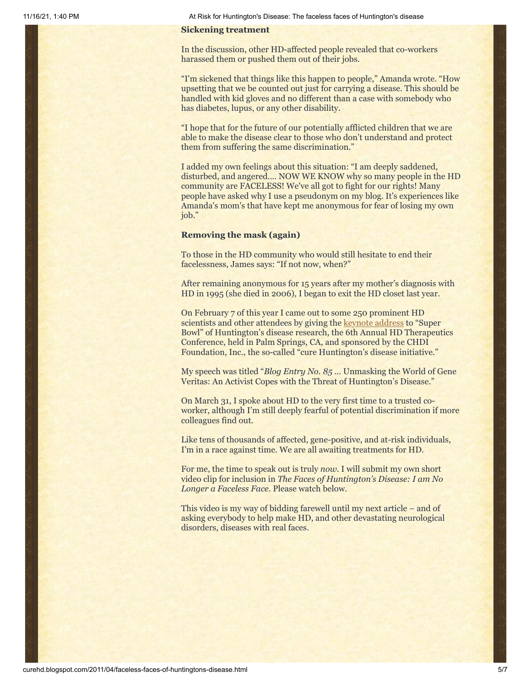11/16/21, 1:40 PM At Risk for Huntington's Disease: The faceless faces of Huntington's disease

#### **Sickening treatment**

In the discussion, other HD-affected people revealed that co-workers harassed them or pushed them out of their jobs.

"I'm sickened that things like this happen to people," Amanda wrote. "How upsetting that we be counted out just for carrying a disease. This should be handled with kid gloves and no different than a case with somebody who has diabetes, lupus, or any other disability.

"I hope that for the future of our potentially afflicted children that we are able to make the disease clear to those who don't understand and protect them from suffering the same discrimination."

I added my own feelings about this situation: "I am deeply saddened, disturbed, and angered.… NOW WE KNOW why so many people in the HD community are FACELESS! We've all got to fight for our rights! Many people have asked why I use a pseudonym on my blog. It's experiences like Amanda's mom's that have kept me anonymous for fear of losing my own job."

#### **Removing the mask (again)**

To those in the HD community who would still hesitate to end their facelessness, James says: "If not now, when?"

After remaining anonymous for 15 years after my mother's diagnosis with HD in 1995 (she died in 2006), I began to exit the HD closet last year.

On February 7 of this year I came out to some 250 prominent HD scientists and other attendees by giving the **keynote address** to "Super Bowl" of Huntington's disease research, the 6th Annual HD Therapeutics Conference, held in Palm Springs, CA, and sponsored by the CHDI Foundation, Inc., the so-called "cure Huntington's disease initiative."

My speech was titled "*Blog Entry No. 85* … Unmasking the World of Gene Veritas: An Activist Copes with the Threat of Huntington's Disease."

On March 31, I spoke about HD to the very first time to a trusted coworker, although I'm still deeply fearful of potential discrimination if more colleagues find out.

Like tens of thousands of affected, gene-positive, and at-risk individuals, I'm in a race against time. We are all awaiting treatments for HD.

For me, the time to speak out is truly *now.* I will submit my own short video clip for inclusion in *The Faces of Huntington's Disease: I am No Longer a Faceless Face*. Please watch below.

This video is my way of bidding farewell until my next article – and of asking everybody to help make HD, and other devastating neurological disorders, diseases with real faces.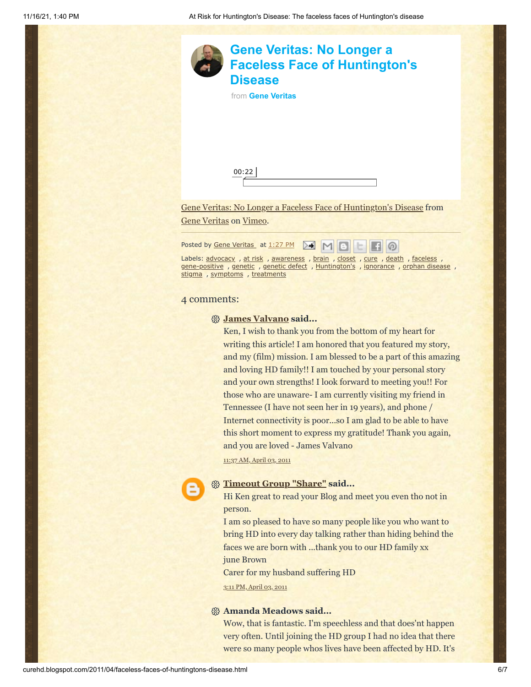

Posted by Gene [Veritas](https://www.blogger.com/profile/03599828959793084715) at [1:27](http://curehd.blogspot.com/2011/04/faceless-faces-of-huntingtons-disease.html) PM ▷€  $M$ က

Labels: [advocacy](http://curehd.blogspot.com/search/label/advocacy), at [risk](http://curehd.blogspot.com/search/label/at%20risk), [awareness](http://curehd.blogspot.com/search/label/awareness), [brain](http://curehd.blogspot.com/search/label/brain), [closet](http://curehd.blogspot.com/search/label/closet), [cure](http://curehd.blogspot.com/search/label/cure), [death](http://curehd.blogspot.com/search/label/death), [faceless](http://curehd.blogspot.com/search/label/faceless), [gene-positive](http://curehd.blogspot.com/search/label/gene-positive) , [genetic](http://curehd.blogspot.com/search/label/genetic%20defect) , genetic defect , [Huntington's](http://curehd.blogspot.com/search/label/Huntington%27s) , [ignorance](http://curehd.blogspot.com/search/label/ignorance) , orphan [disease](http://curehd.blogspot.com/search/label/orphan%20disease) , [stigma](http://curehd.blogspot.com/search/label/stigma) , [symptoms](http://curehd.blogspot.com/search/label/symptoms) , [treatments](http://curehd.blogspot.com/search/label/treatments)

#### 4 comments:

#### **[James Valvano](http://www.wehaveaface.org/) said...**

Ken, I wish to thank you from the bottom of my heart for writing this article! I am honored that you featured my story, and my (film) mission. I am blessed to be a part of this amazing and loving HD family!! I am touched by your personal story and your own strengths! I look forward to meeting you!! For those who are unaware- I am currently visiting my friend in Tennessee (I have not seen her in 19 years), and phone / Internet connectivity is poor...so I am glad to be able to have this short moment to express my gratitude! Thank you again, and you are loved - James Valvano

11:37 AM, [April](http://curehd.blogspot.com/2011/04/faceless-faces-of-huntingtons-disease.html?showComment=1301855855050#c8960292030704390012) 03, 2011

# **[Timeout Group "Share"](https://www.blogger.com/profile/14101662928660501754) said...**

Hi Ken great to read your Blog and meet you even tho not in person.

I am so pleased to have so many people like you who want to bring HD into every day talking rather than hiding behind the faces we are born with ...thank you to our HD family xx june Brown

Carer for my husband suffering HD

3:11 PM, [April](http://curehd.blogspot.com/2011/04/faceless-faces-of-huntingtons-disease.html?showComment=1301868709098#c7782878695214583562) 03, 2011

#### **Amanda Meadows said...**

Wow, that is fantastic. I'm speechless and that does'nt happen very often. Until joining the HD group I had no idea that there were so many people whos lives have been affected by HD. It's